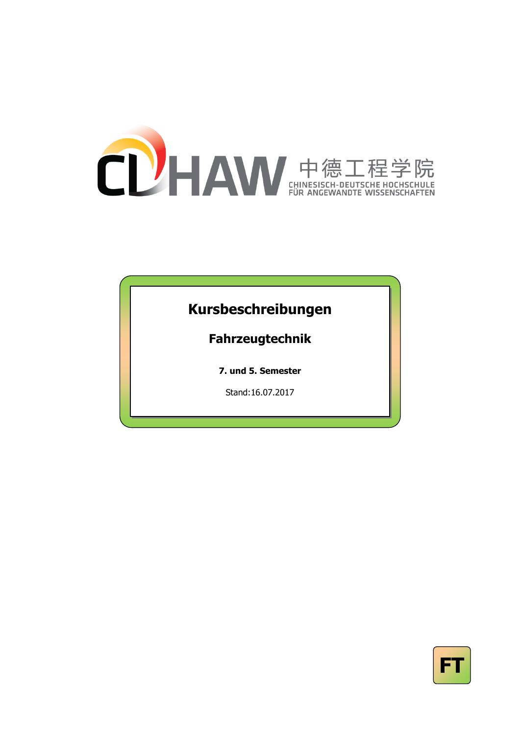

## **Kursbeschreibungen**

## **Fahrzeugtechnik**

**7. und 5. Semester**

Stand:16.07.2017

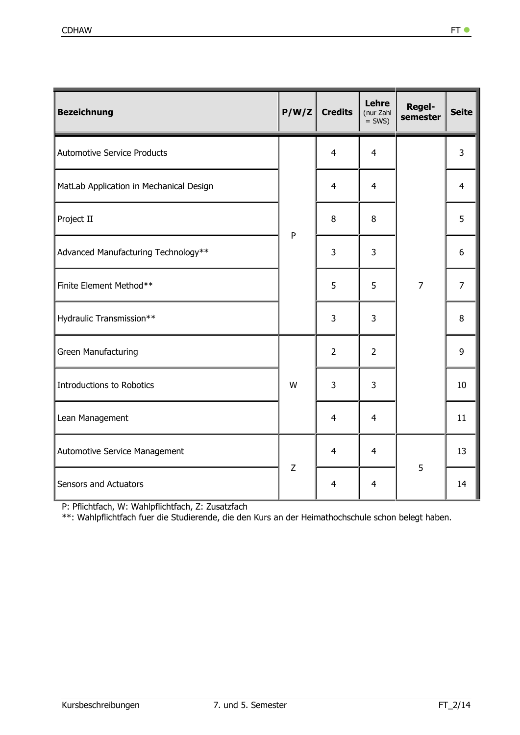| <b>Bezeichnung</b>                      | P/W/Z       | <b>Credits</b>          | Lehre<br>(nur Zahl<br>$=$ SWS) | <b>Regel-</b><br>semester | <b>Seite</b>   |
|-----------------------------------------|-------------|-------------------------|--------------------------------|---------------------------|----------------|
| <b>Automotive Service Products</b>      |             | $\overline{4}$          | $\overline{4}$                 |                           | 3              |
| MatLab Application in Mechanical Design |             | $\overline{4}$          | $\overline{4}$                 |                           | 4              |
| Project II                              | ${\sf P}$   | 8                       | 8                              |                           | 5              |
| Advanced Manufacturing Technology**     |             | 3                       | 3                              |                           | 6              |
| Finite Element Method**                 |             | 5                       | 5                              | $\overline{7}$            | $\overline{7}$ |
| Hydraulic Transmission**                |             | 3                       | 3                              |                           | 8              |
| Green Manufacturing                     |             | $\overline{2}$          | $\overline{2}$                 |                           | 9              |
| <b>Introductions to Robotics</b>        | W           | 3                       | 3                              |                           | 10             |
| Lean Management                         |             | $\overline{4}$          | $\overline{4}$                 |                           | 11             |
| Automotive Service Management           | $\mathsf Z$ | $\overline{4}$          | $\overline{4}$                 | 5                         | 13             |
| Sensors and Actuators                   |             | $\overline{\mathbf{4}}$ | $\overline{4}$                 |                           | 14             |

P: Pflichtfach, W: Wahlpflichtfach, Z: Zusatzfach

\*\*: Wahlpflichtfach fuer die Studierende, die den Kurs an der Heimathochschule schon belegt haben.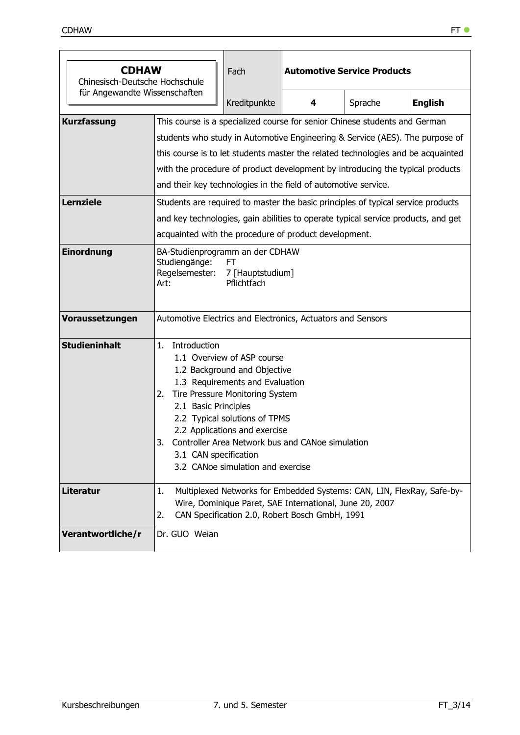| <b>CDHAW</b><br>Chinesisch-Deutsche Hochschule |                                                                                                                                                                                                                                                                                                                                                                                                                                                                                       | Fach                                                                                                                                                                                                                                    | <b>Automotive Service Products</b>                                                                                                                                                  |         |                |  |  |
|------------------------------------------------|---------------------------------------------------------------------------------------------------------------------------------------------------------------------------------------------------------------------------------------------------------------------------------------------------------------------------------------------------------------------------------------------------------------------------------------------------------------------------------------|-----------------------------------------------------------------------------------------------------------------------------------------------------------------------------------------------------------------------------------------|-------------------------------------------------------------------------------------------------------------------------------------------------------------------------------------|---------|----------------|--|--|
| für Angewandte Wissenschaften                  |                                                                                                                                                                                                                                                                                                                                                                                                                                                                                       | Kreditpunkte                                                                                                                                                                                                                            | 4                                                                                                                                                                                   | Sprache | <b>English</b> |  |  |
| <b>Kurzfassung</b><br><b>Lernziele</b>         | This course is a specialized course for senior Chinese students and German<br>students who study in Automotive Engineering & Service (AES). The purpose of<br>this course is to let students master the related technologies and be acquainted<br>with the procedure of product development by introducing the typical products<br>and their key technologies in the field of automotive service.<br>Students are required to master the basic principles of typical service products |                                                                                                                                                                                                                                         |                                                                                                                                                                                     |         |                |  |  |
|                                                |                                                                                                                                                                                                                                                                                                                                                                                                                                                                                       | and key technologies, gain abilities to operate typical service products, and get<br>acquainted with the procedure of product development.                                                                                              |                                                                                                                                                                                     |         |                |  |  |
| Einordnung                                     | BA-Studienprogramm an der CDHAW<br>Studiengänge:<br>FT<br>Regelsemester:<br>7 [Hauptstudium]<br>Pflichtfach<br>Art:                                                                                                                                                                                                                                                                                                                                                                   |                                                                                                                                                                                                                                         |                                                                                                                                                                                     |         |                |  |  |
| Voraussetzungen                                | Automotive Electrics and Electronics, Actuators and Sensors                                                                                                                                                                                                                                                                                                                                                                                                                           |                                                                                                                                                                                                                                         |                                                                                                                                                                                     |         |                |  |  |
| <b>Studieninhalt</b>                           | 1.<br>Introduction<br>2.<br>2.1 Basic Principles<br>3.<br>3.1 CAN specification                                                                                                                                                                                                                                                                                                                                                                                                       | 1.1 Overview of ASP course<br>1.2 Background and Objective<br>1.3 Requirements and Evaluation<br>Tire Pressure Monitoring System<br>2.2 Typical solutions of TPMS<br>2.2 Applications and exercise<br>3.2 CANoe simulation and exercise | Controller Area Network bus and CANoe simulation                                                                                                                                    |         |                |  |  |
| <b>Literatur</b>                               | 1.<br>2.                                                                                                                                                                                                                                                                                                                                                                                                                                                                              |                                                                                                                                                                                                                                         | Multiplexed Networks for Embedded Systems: CAN, LIN, FlexRay, Safe-by-<br>Wire, Dominique Paret, SAE International, June 20, 2007<br>CAN Specification 2.0, Robert Bosch GmbH, 1991 |         |                |  |  |
| Verantwortliche/r                              | Dr. GUO Weian                                                                                                                                                                                                                                                                                                                                                                                                                                                                         |                                                                                                                                                                                                                                         |                                                                                                                                                                                     |         |                |  |  |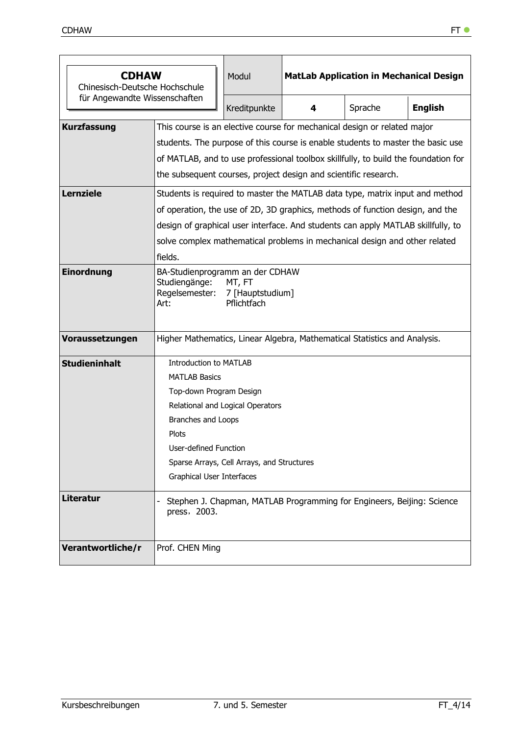| <b>CDHAW</b><br>Chinesisch-Deutsche Hochschule |                                                                                                                                                                                                                                                                                                                      | Modul                                                                                                                                                                                                                                                                                                                           | <b>MatLab Application in Mechanical Design</b>                         |         |                |  |  |  |
|------------------------------------------------|----------------------------------------------------------------------------------------------------------------------------------------------------------------------------------------------------------------------------------------------------------------------------------------------------------------------|---------------------------------------------------------------------------------------------------------------------------------------------------------------------------------------------------------------------------------------------------------------------------------------------------------------------------------|------------------------------------------------------------------------|---------|----------------|--|--|--|
| für Angewandte Wissenschaften                  |                                                                                                                                                                                                                                                                                                                      | Kreditpunkte                                                                                                                                                                                                                                                                                                                    | 4                                                                      | Sprache | <b>English</b> |  |  |  |
| <b>Kurzfassung</b>                             | This course is an elective course for mechanical design or related major<br>students. The purpose of this course is enable students to master the basic use<br>of MATLAB, and to use professional toolbox skillfully, to build the foundation for<br>the subsequent courses, project design and scientific research. |                                                                                                                                                                                                                                                                                                                                 |                                                                        |         |                |  |  |  |
| <b>Lernziele</b>                               | fields.                                                                                                                                                                                                                                                                                                              | Students is required to master the MATLAB data type, matrix input and method<br>of operation, the use of 2D, 3D graphics, methods of function design, and the<br>design of graphical user interface. And students can apply MATLAB skillfully, to<br>solve complex mathematical problems in mechanical design and other related |                                                                        |         |                |  |  |  |
| <b>Einordnung</b>                              | BA-Studienprogramm an der CDHAW<br>Studiengänge:<br>MT, FT<br>Regelsemester: 7 [Hauptstudium]<br>Pflichtfach<br>Art:                                                                                                                                                                                                 |                                                                                                                                                                                                                                                                                                                                 |                                                                        |         |                |  |  |  |
| Voraussetzungen                                | Higher Mathematics, Linear Algebra, Mathematical Statistics and Analysis.                                                                                                                                                                                                                                            |                                                                                                                                                                                                                                                                                                                                 |                                                                        |         |                |  |  |  |
| <b>Studieninhalt</b>                           | <b>Introduction to MATLAB</b><br><b>MATLAB Basics</b><br>Top-down Program Design<br>Branches and Loops<br><b>Plots</b><br>User-defined Function<br>Graphical User Interfaces                                                                                                                                         | Relational and Logical Operators<br>Sparse Arrays, Cell Arrays, and Structures                                                                                                                                                                                                                                                  |                                                                        |         |                |  |  |  |
| <b>Literatur</b>                               | press, 2003.                                                                                                                                                                                                                                                                                                         |                                                                                                                                                                                                                                                                                                                                 | Stephen J. Chapman, MATLAB Programming for Engineers, Beijing: Science |         |                |  |  |  |
| Verantwortliche/r                              | Prof. CHEN Ming                                                                                                                                                                                                                                                                                                      |                                                                                                                                                                                                                                                                                                                                 |                                                                        |         |                |  |  |  |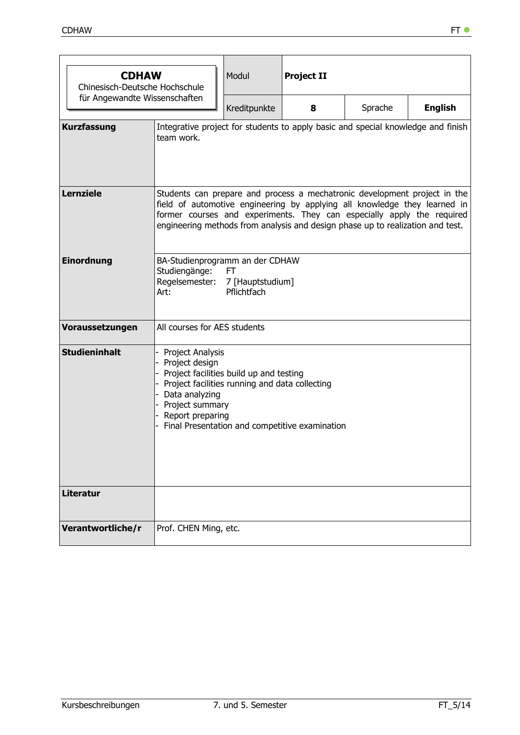| <b>CDHAW</b>         |                                                                                                                                                                                                                                                                                                                    | Modul        | <b>Project II</b> |         |                |  |  |
|----------------------|--------------------------------------------------------------------------------------------------------------------------------------------------------------------------------------------------------------------------------------------------------------------------------------------------------------------|--------------|-------------------|---------|----------------|--|--|
|                      | Chinesisch-Deutsche Hochschule<br>für Angewandte Wissenschaften                                                                                                                                                                                                                                                    |              |                   |         |                |  |  |
|                      |                                                                                                                                                                                                                                                                                                                    | Kreditpunkte | 8                 | Sprache | <b>English</b> |  |  |
| <b>Kurzfassung</b>   | Integrative project for students to apply basic and special knowledge and finish<br>team work.                                                                                                                                                                                                                     |              |                   |         |                |  |  |
| <b>Lernziele</b>     | Students can prepare and process a mechatronic development project in the<br>field of automotive engineering by applying all knowledge they learned in<br>former courses and experiments. They can especially apply the required<br>engineering methods from analysis and design phase up to realization and test. |              |                   |         |                |  |  |
| <b>Einordnung</b>    | BA-Studienprogramm an der CDHAW<br>Studiengänge:<br>FT.<br>Regelsemester: 7 [Hauptstudium]<br>Pflichtfach<br>Art:                                                                                                                                                                                                  |              |                   |         |                |  |  |
| Voraussetzungen      | All courses for AES students                                                                                                                                                                                                                                                                                       |              |                   |         |                |  |  |
| <b>Studieninhalt</b> | Project Analysis<br>- Project design<br>- Project facilities build up and testing<br>- Project facilities running and data collecting<br>- Data analyzing<br>- Project summary<br>- Report preparing<br>- Final Presentation and competitive examination                                                           |              |                   |         |                |  |  |
| <b>Literatur</b>     |                                                                                                                                                                                                                                                                                                                    |              |                   |         |                |  |  |
| Verantwortliche/r    | Prof. CHEN Ming, etc.                                                                                                                                                                                                                                                                                              |              |                   |         |                |  |  |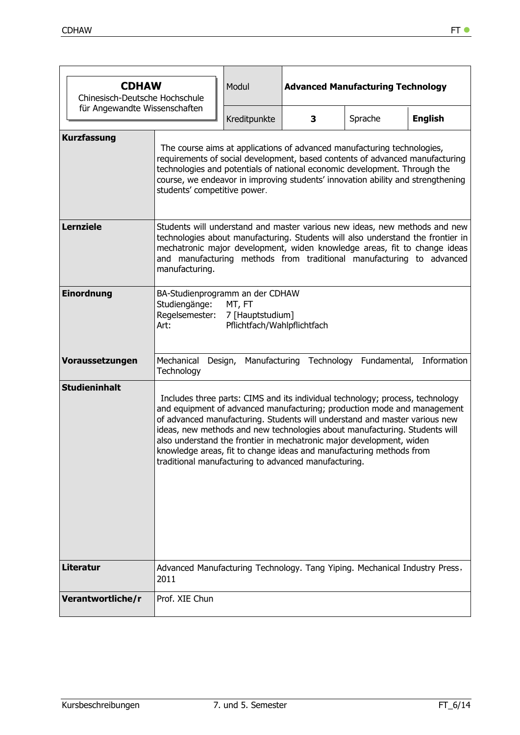|                               | <b>CDHAW</b><br>Chinesisch-Deutsche Hochschule                                                                                                                                                                                                                                                                                                                                                                                                                                                                              |              | <b>Advanced Manufacturing Technology</b> |         |                                                   |  |  |  |  |
|-------------------------------|-----------------------------------------------------------------------------------------------------------------------------------------------------------------------------------------------------------------------------------------------------------------------------------------------------------------------------------------------------------------------------------------------------------------------------------------------------------------------------------------------------------------------------|--------------|------------------------------------------|---------|---------------------------------------------------|--|--|--|--|
| für Angewandte Wissenschaften |                                                                                                                                                                                                                                                                                                                                                                                                                                                                                                                             | Kreditpunkte | 3                                        | Sprache | <b>English</b>                                    |  |  |  |  |
| <b>Kurzfassung</b>            | The course aims at applications of advanced manufacturing technologies,<br>requirements of social development, based contents of advanced manufacturing<br>technologies and potentials of national economic development. Through the<br>course, we endeavor in improving students' innovation ability and strengthening<br>students' competitive power.                                                                                                                                                                     |              |                                          |         |                                                   |  |  |  |  |
| <b>Lernziele</b>              | Students will understand and master various new ideas, new methods and new<br>technologies about manufacturing. Students will also understand the frontier in<br>mechatronic major development, widen knowledge areas, fit to change ideas<br>and manufacturing methods from traditional manufacturing to advanced<br>manufacturing.                                                                                                                                                                                        |              |                                          |         |                                                   |  |  |  |  |
| Einordnung                    | BA-Studienprogramm an der CDHAW<br>Studiengänge:<br>MT, FT<br>Regelsemester:<br>7 [Hauptstudium]<br>Pflichtfach/Wahlpflichtfach<br>Art:                                                                                                                                                                                                                                                                                                                                                                                     |              |                                          |         |                                                   |  |  |  |  |
| Voraussetzungen               | Mechanical<br>Technology                                                                                                                                                                                                                                                                                                                                                                                                                                                                                                    | Design,      |                                          |         | Manufacturing Technology Fundamental, Information |  |  |  |  |
| <b>Studieninhalt</b>          | Includes three parts: CIMS and its individual technology; process, technology<br>and equipment of advanced manufacturing; production mode and management<br>of advanced manufacturing. Students will understand and master various new<br>ideas, new methods and new technologies about manufacturing. Students will<br>also understand the frontier in mechatronic major development, widen<br>knowledge areas, fit to change ideas and manufacturing methods from<br>traditional manufacturing to advanced manufacturing. |              |                                          |         |                                                   |  |  |  |  |
| <b>Literatur</b>              | Advanced Manufacturing Technology. Tang Yiping. Mechanical Industry Press,<br>2011                                                                                                                                                                                                                                                                                                                                                                                                                                          |              |                                          |         |                                                   |  |  |  |  |
| Verantwortliche/r             | Prof. XIE Chun                                                                                                                                                                                                                                                                                                                                                                                                                                                                                                              |              |                                          |         |                                                   |  |  |  |  |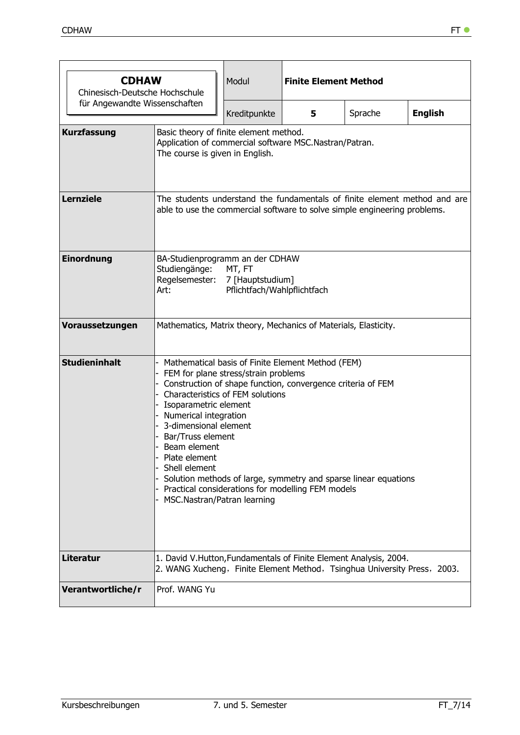| <b>CDHAW</b><br>Chinesisch-Deutsche Hochschule |                                                                                                                                                                                                                                                                                                                                                                                                                                                                                                              | Modul                                                                                                                                                  | <b>Finite Element Method</b> |         |                |  |  |  |  |
|------------------------------------------------|--------------------------------------------------------------------------------------------------------------------------------------------------------------------------------------------------------------------------------------------------------------------------------------------------------------------------------------------------------------------------------------------------------------------------------------------------------------------------------------------------------------|--------------------------------------------------------------------------------------------------------------------------------------------------------|------------------------------|---------|----------------|--|--|--|--|
| für Angewandte Wissenschaften                  |                                                                                                                                                                                                                                                                                                                                                                                                                                                                                                              | Kreditpunkte                                                                                                                                           | 5                            | Sprache | <b>English</b> |  |  |  |  |
| <b>Kurzfassung</b>                             |                                                                                                                                                                                                                                                                                                                                                                                                                                                                                                              | Basic theory of finite element method.<br>Application of commercial software MSC.Nastran/Patran.<br>The course is given in English.                    |                              |         |                |  |  |  |  |
| <b>Lernziele</b>                               |                                                                                                                                                                                                                                                                                                                                                                                                                                                                                                              | The students understand the fundamentals of finite element method and are<br>able to use the commercial software to solve simple engineering problems. |                              |         |                |  |  |  |  |
| Einordnung                                     | BA-Studienprogramm an der CDHAW<br>Studiengänge:<br>MT, FT<br>Regelsemester:<br>7 [Hauptstudium]<br>Pflichtfach/Wahlpflichtfach<br>Art:                                                                                                                                                                                                                                                                                                                                                                      |                                                                                                                                                        |                              |         |                |  |  |  |  |
| Voraussetzungen                                | Mathematics, Matrix theory, Mechanics of Materials, Elasticity.                                                                                                                                                                                                                                                                                                                                                                                                                                              |                                                                                                                                                        |                              |         |                |  |  |  |  |
| <b>Studieninhalt</b>                           | Mathematical basis of Finite Element Method (FEM)<br>FEM for plane stress/strain problems<br>Construction of shape function, convergence criteria of FEM<br><b>Characteristics of FEM solutions</b><br>Isoparametric element<br>Numerical integration<br>3-dimensional element<br>Bar/Truss element<br>Beam element<br>Plate element<br>Shell element<br>Solution methods of large, symmetry and sparse linear equations<br>Practical considerations for modelling FEM models<br>MSC.Nastran/Patran learning |                                                                                                                                                        |                              |         |                |  |  |  |  |
| <b>Literatur</b>                               | 1. David V.Hutton, Fundamentals of Finite Element Analysis, 2004.<br>2. WANG Xucheng, Finite Element Method, Tsinghua University Press, 2003.                                                                                                                                                                                                                                                                                                                                                                |                                                                                                                                                        |                              |         |                |  |  |  |  |
| Verantwortliche/r                              | Prof. WANG Yu                                                                                                                                                                                                                                                                                                                                                                                                                                                                                                |                                                                                                                                                        |                              |         |                |  |  |  |  |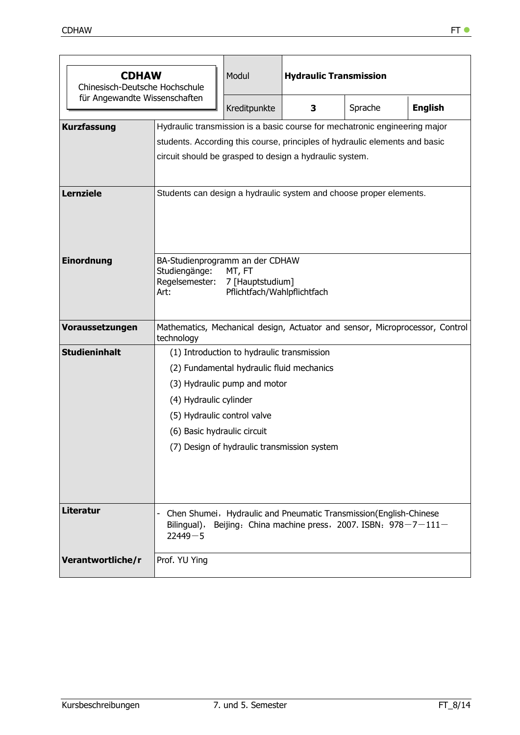| <b>CDHAW</b><br>Chinesisch-Deutsche Hochschule |                                                                                                                                         | Modul                                                                                                                             | <b>Hydraulic Transmission</b> |         |                                                                              |  |  |  |
|------------------------------------------------|-----------------------------------------------------------------------------------------------------------------------------------------|-----------------------------------------------------------------------------------------------------------------------------------|-------------------------------|---------|------------------------------------------------------------------------------|--|--|--|
| für Angewandte Wissenschaften                  |                                                                                                                                         | Kreditpunkte                                                                                                                      | 3                             | Sprache | <b>English</b>                                                               |  |  |  |
| <b>Kurzfassung</b>                             | Hydraulic transmission is a basic course for mechatronic engineering major                                                              |                                                                                                                                   |                               |         |                                                                              |  |  |  |
|                                                | students. According this course, principles of hydraulic elements and basic                                                             |                                                                                                                                   |                               |         |                                                                              |  |  |  |
|                                                | circuit should be grasped to design a hydraulic system.                                                                                 |                                                                                                                                   |                               |         |                                                                              |  |  |  |
| <b>Lernziele</b>                               | Students can design a hydraulic system and choose proper elements.                                                                      |                                                                                                                                   |                               |         |                                                                              |  |  |  |
| Einordnung                                     | BA-Studienprogramm an der CDHAW<br>Studiengänge:<br>MT, FT<br>Regelsemester:<br>7 [Hauptstudium]<br>Pflichtfach/Wahlpflichtfach<br>Art: |                                                                                                                                   |                               |         |                                                                              |  |  |  |
| Voraussetzungen                                | technology                                                                                                                              |                                                                                                                                   |                               |         | Mathematics, Mechanical design, Actuator and sensor, Microprocessor, Control |  |  |  |
| <b>Studieninhalt</b>                           |                                                                                                                                         | (1) Introduction to hydraulic transmission                                                                                        |                               |         |                                                                              |  |  |  |
|                                                |                                                                                                                                         | (2) Fundamental hydraulic fluid mechanics                                                                                         |                               |         |                                                                              |  |  |  |
|                                                |                                                                                                                                         | (3) Hydraulic pump and motor                                                                                                      |                               |         |                                                                              |  |  |  |
|                                                | (4) Hydraulic cylinder                                                                                                                  |                                                                                                                                   |                               |         |                                                                              |  |  |  |
|                                                | (5) Hydraulic control valve                                                                                                             |                                                                                                                                   |                               |         |                                                                              |  |  |  |
|                                                | (6) Basic hydraulic circuit                                                                                                             |                                                                                                                                   |                               |         |                                                                              |  |  |  |
|                                                | (7) Design of hydraulic transmission system                                                                                             |                                                                                                                                   |                               |         |                                                                              |  |  |  |
| <b>Literatur</b>                               | Bilingual),<br>$22449 - 5$                                                                                                              | Chen Shumei, Hydraulic and Pneumatic Transmission (English-Chinese<br>Beijing: China machine press, 2007. ISBN: $978 - 7 - 111 -$ |                               |         |                                                                              |  |  |  |
| Verantwortliche/r                              | Prof. YU Ying                                                                                                                           |                                                                                                                                   |                               |         |                                                                              |  |  |  |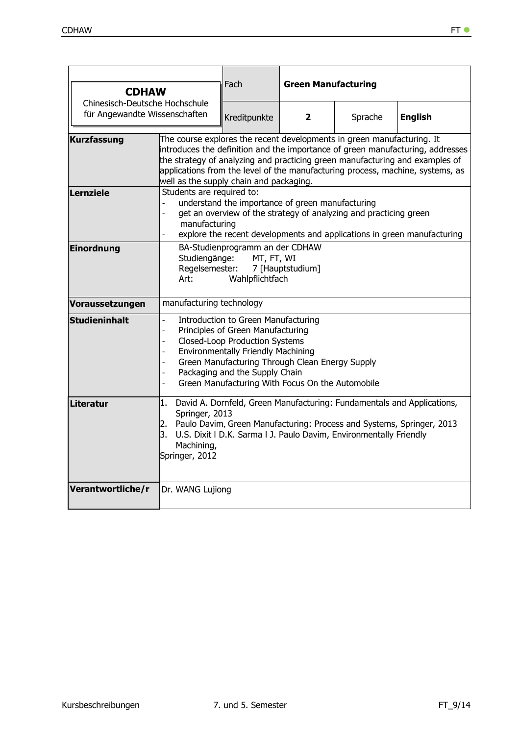| <b>CDHAW</b>                                                    |                                                                                                                                                                                                                                                                                                                                                           | Fach                                                                                                                                                                                                                                                                                                           | <b>Green Manufacturing</b> |                                                                        |                                                                                                                                                                                                                                                  |  |  |
|-----------------------------------------------------------------|-----------------------------------------------------------------------------------------------------------------------------------------------------------------------------------------------------------------------------------------------------------------------------------------------------------------------------------------------------------|----------------------------------------------------------------------------------------------------------------------------------------------------------------------------------------------------------------------------------------------------------------------------------------------------------------|----------------------------|------------------------------------------------------------------------|--------------------------------------------------------------------------------------------------------------------------------------------------------------------------------------------------------------------------------------------------|--|--|
| Chinesisch-Deutsche Hochschule<br>für Angewandte Wissenschaften |                                                                                                                                                                                                                                                                                                                                                           | Kreditpunkte                                                                                                                                                                                                                                                                                                   | $\mathbf{2}$               | Sprache                                                                | <b>English</b>                                                                                                                                                                                                                                   |  |  |
| <b>Kurzfassung</b>                                              | well as the supply chain and packaging.                                                                                                                                                                                                                                                                                                                   |                                                                                                                                                                                                                                                                                                                |                            | The course explores the recent developments in green manufacturing. It | introduces the definition and the importance of green manufacturing, addresses<br>the strategy of analyzing and practicing green manufacturing and examples of<br>applications from the level of the manufacturing process, machine, systems, as |  |  |
| Lernziele                                                       | Students are required to:<br>understand the importance of green manufacturing<br>get an overview of the strategy of analyzing and practicing green<br>$\overline{a}$<br>manufacturing<br>explore the recent developments and applications in green manufacturing                                                                                          |                                                                                                                                                                                                                                                                                                                |                            |                                                                        |                                                                                                                                                                                                                                                  |  |  |
| <b>Einordnung</b>                                               | BA-Studienprogramm an der CDHAW<br>Studiengänge:<br>MT, FT, WI<br>Regelsemester:<br>7 [Hauptstudium]<br>Wahlpflichtfach<br>Art: the state of the state of the state of the state of the state of the state of the state of the state of the state of the state of the state of the state of the state of the state of the state of the state of the state |                                                                                                                                                                                                                                                                                                                |                            |                                                                        |                                                                                                                                                                                                                                                  |  |  |
| Voraussetzungen                                                 | manufacturing technology                                                                                                                                                                                                                                                                                                                                  |                                                                                                                                                                                                                                                                                                                |                            |                                                                        |                                                                                                                                                                                                                                                  |  |  |
| <b>Studieninhalt</b>                                            | L.<br>$\overline{\phantom{0}}$<br>$\blacksquare$<br>÷,<br>$\overline{\phantom{0}}$                                                                                                                                                                                                                                                                        | <b>Introduction to Green Manufacturing</b><br>Principles of Green Manufacturing<br><b>Closed-Loop Production Systems</b><br><b>Environmentally Friendly Machining</b><br>Green Manufacturing Through Clean Energy Supply<br>Packaging and the Supply Chain<br>Green Manufacturing With Focus On the Automobile |                            |                                                                        |                                                                                                                                                                                                                                                  |  |  |
| <b>Literatur</b>                                                | David A. Dornfeld, Green Manufacturing: Fundamentals and Applications,<br>1.<br>Springer, 2013<br>2. Paulo Davim, Green Manufacturing: Process and Systems, Springer, 2013<br>U.S. Dixit   D.K. Sarma   J. Paulo Davim, Environmentally Friendly<br>3.<br>Machining,<br>Springer, 2012                                                                    |                                                                                                                                                                                                                                                                                                                |                            |                                                                        |                                                                                                                                                                                                                                                  |  |  |
| Verantwortliche/r                                               | Dr. WANG Lujiong                                                                                                                                                                                                                                                                                                                                          |                                                                                                                                                                                                                                                                                                                |                            |                                                                        |                                                                                                                                                                                                                                                  |  |  |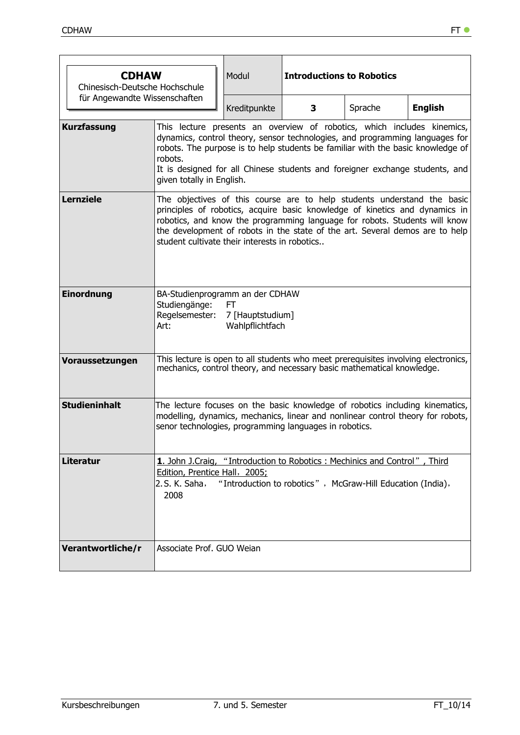|                               | <b>CDHAW</b><br>Modul<br>Chinesisch-Deutsche Hochschule                                                                                                                                                                                                                                                                                                               |                                           |   | <b>Introductions to Robotics</b>                           |                |  |  |
|-------------------------------|-----------------------------------------------------------------------------------------------------------------------------------------------------------------------------------------------------------------------------------------------------------------------------------------------------------------------------------------------------------------------|-------------------------------------------|---|------------------------------------------------------------|----------------|--|--|
| für Angewandte Wissenschaften |                                                                                                                                                                                                                                                                                                                                                                       | Kreditpunkte                              | 3 | Sprache                                                    | <b>English</b> |  |  |
| <b>Kurzfassung</b>            | This lecture presents an overview of robotics, which includes kinemics,<br>dynamics, control theory, sensor technologies, and programming languages for<br>robots. The purpose is to help students be familiar with the basic knowledge of<br>robots.<br>It is designed for all Chinese students and foreigner exchange students, and<br>given totally in English.    |                                           |   |                                                            |                |  |  |
| <b>Lernziele</b>              | The objectives of this course are to help students understand the basic<br>principles of robotics, acquire basic knowledge of kinetics and dynamics in<br>robotics, and know the programming language for robots. Students will know<br>the development of robots in the state of the art. Several demos are to help<br>student cultivate their interests in robotics |                                           |   |                                                            |                |  |  |
| Einordnung                    | BA-Studienprogramm an der CDHAW<br>Studiengänge:<br>Regelsemester:<br>Art:                                                                                                                                                                                                                                                                                            | FT<br>7 [Hauptstudium]<br>Wahlpflichtfach |   |                                                            |                |  |  |
| Voraussetzungen               | This lecture is open to all students who meet prerequisites involving electronics,<br>mechanics, control theory, and necessary basic mathematical knowledge.                                                                                                                                                                                                          |                                           |   |                                                            |                |  |  |
| <b>Studieninhalt</b>          | The lecture focuses on the basic knowledge of robotics including kinematics,<br>modelling, dynamics, mechanics, linear and nonlinear control theory for robots,<br>senor technologies, programming languages in robotics.                                                                                                                                             |                                           |   |                                                            |                |  |  |
| <b>Literatur</b>              | 1. John J.Craig, "Introduction to Robotics: Mechinics and Control", Third<br>Edition, Prentice Hall, 2005;<br>2. S. K. Saha,<br>2008                                                                                                                                                                                                                                  |                                           |   | "Introduction to robotics", McGraw-Hill Education (India), |                |  |  |
| Verantwortliche/r             | Associate Prof. GUO Weian                                                                                                                                                                                                                                                                                                                                             |                                           |   |                                                            |                |  |  |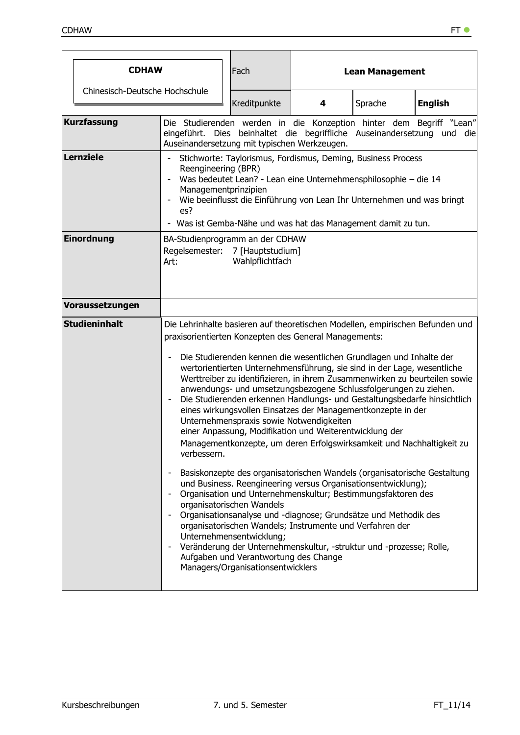| <b>CDHAW</b>                   |                                                                                                                                                                                                                                                                                                                                  |                                                                                                                                                                                                | Fach                                                                                                                                |                                                                                                                                                                                                                          | <b>Lean Management</b>                                                                                                                                                                                                                                                                                                                                                                                                                                                                                                                                                                                                                                                                                                                                                                                                                                                                                                                                        |                |  |  |
|--------------------------------|----------------------------------------------------------------------------------------------------------------------------------------------------------------------------------------------------------------------------------------------------------------------------------------------------------------------------------|------------------------------------------------------------------------------------------------------------------------------------------------------------------------------------------------|-------------------------------------------------------------------------------------------------------------------------------------|--------------------------------------------------------------------------------------------------------------------------------------------------------------------------------------------------------------------------|---------------------------------------------------------------------------------------------------------------------------------------------------------------------------------------------------------------------------------------------------------------------------------------------------------------------------------------------------------------------------------------------------------------------------------------------------------------------------------------------------------------------------------------------------------------------------------------------------------------------------------------------------------------------------------------------------------------------------------------------------------------------------------------------------------------------------------------------------------------------------------------------------------------------------------------------------------------|----------------|--|--|
| Chinesisch-Deutsche Hochschule |                                                                                                                                                                                                                                                                                                                                  |                                                                                                                                                                                                | Kreditpunkte                                                                                                                        | 4                                                                                                                                                                                                                        | Sprache                                                                                                                                                                                                                                                                                                                                                                                                                                                                                                                                                                                                                                                                                                                                                                                                                                                                                                                                                       | <b>English</b> |  |  |
| <b>Kurzfassung</b>             |                                                                                                                                                                                                                                                                                                                                  | Die Studierenden werden in die Konzeption hinter dem Begriff "Lean"<br>eingeführt. Dies beinhaltet die begriffliche Auseinandersetzung und die<br>Auseinandersetzung mit typischen Werkzeugen. |                                                                                                                                     |                                                                                                                                                                                                                          |                                                                                                                                                                                                                                                                                                                                                                                                                                                                                                                                                                                                                                                                                                                                                                                                                                                                                                                                                               |                |  |  |
| <b>Lernziele</b>               | Stichworte: Taylorismus, Fordismus, Deming, Business Process<br>Reengineering (BPR)<br>Was bedeutet Lean? - Lean eine Unternehmensphilosophie - die 14<br>Managementprinzipien<br>Wie beeinflusst die Einführung von Lean Ihr Unternehmen und was bringt<br>es?<br>- Was ist Gemba-Nähe und was hat das Management damit zu tun. |                                                                                                                                                                                                |                                                                                                                                     |                                                                                                                                                                                                                          |                                                                                                                                                                                                                                                                                                                                                                                                                                                                                                                                                                                                                                                                                                                                                                                                                                                                                                                                                               |                |  |  |
| <b>Einordnung</b>              | BA-Studienprogramm an der CDHAW<br>Regelsemester: 7 [Hauptstudium]<br>Art:                                                                                                                                                                                                                                                       |                                                                                                                                                                                                | Wahlpflichtfach                                                                                                                     |                                                                                                                                                                                                                          |                                                                                                                                                                                                                                                                                                                                                                                                                                                                                                                                                                                                                                                                                                                                                                                                                                                                                                                                                               |                |  |  |
| Voraussetzungen                |                                                                                                                                                                                                                                                                                                                                  |                                                                                                                                                                                                |                                                                                                                                     |                                                                                                                                                                                                                          |                                                                                                                                                                                                                                                                                                                                                                                                                                                                                                                                                                                                                                                                                                                                                                                                                                                                                                                                                               |                |  |  |
| <b>Studieninhalt</b>           | verbessern.<br>$\overline{a}$<br>$\overline{\phantom{a}}$<br>$\overline{\phantom{m}}$<br>$\qquad \qquad \blacksquare$                                                                                                                                                                                                            |                                                                                                                                                                                                | organisatorischen Wandels<br>Unternehmensentwicklung;<br>Aufgaben und Verantwortung des Change<br>Managers/Organisationsentwicklers | praxisorientierten Konzepten des General Managements:<br>Unternehmenspraxis sowie Notwendigkeiten<br>einer Anpassung, Modifikation und Weiterentwicklung der<br>organisatorischen Wandels; Instrumente und Verfahren der | Die Lehrinhalte basieren auf theoretischen Modellen, empirischen Befunden und<br>Die Studierenden kennen die wesentlichen Grundlagen und Inhalte der<br>wertorientierten Unternehmensführung, sie sind in der Lage, wesentliche<br>Werttreiber zu identifizieren, in ihrem Zusammenwirken zu beurteilen sowie<br>anwendungs- und umsetzungsbezogene Schlussfolgerungen zu ziehen.<br>Die Studierenden erkennen Handlungs- und Gestaltungsbedarfe hinsichtlich<br>eines wirkungsvollen Einsatzes der Managementkonzepte in der<br>Managementkonzepte, um deren Erfolgswirksamkeit und Nachhaltigkeit zu<br>Basiskonzepte des organisatorischen Wandels (organisatorische Gestaltung<br>und Business. Reengineering versus Organisationsentwicklung);<br>Organisation und Unternehmenskultur; Bestimmungsfaktoren des<br>Organisationsanalyse und -diagnose; Grundsätze und Methodik des<br>Veränderung der Unternehmenskultur, -struktur und -prozesse; Rolle, |                |  |  |

 $\overline{\phantom{a}}$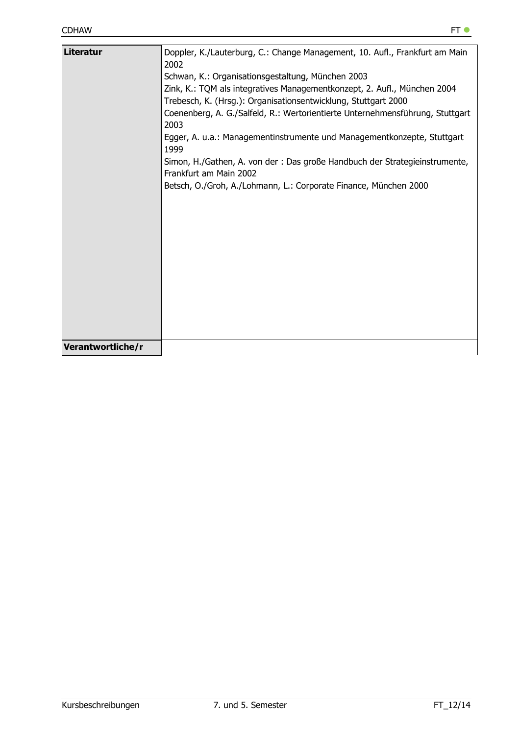| Doppler, K./Lauterburg, C.: Change Management, 10. Aufl., Frankfurt am Main<br>2002<br>Schwan, K.: Organisationsgestaltung, München 2003<br>Zink, K.: TQM als integratives Managementkonzept, 2. Aufl., München 2004<br>Trebesch, K. (Hrsg.): Organisationsentwicklung, Stuttgart 2000<br>Coenenberg, A. G./Salfeld, R.: Wertorientierte Unternehmensführung, Stuttgart<br>2003<br>Egger, A. u.a.: Managementinstrumente und Managementkonzepte, Stuttgart<br>1999<br>Simon, H./Gathen, A. von der : Das große Handbuch der Strategieinstrumente,<br>Frankfurt am Main 2002<br>Betsch, O./Groh, A./Lohmann, L.: Corporate Finance, München 2000 |
|-------------------------------------------------------------------------------------------------------------------------------------------------------------------------------------------------------------------------------------------------------------------------------------------------------------------------------------------------------------------------------------------------------------------------------------------------------------------------------------------------------------------------------------------------------------------------------------------------------------------------------------------------|
|                                                                                                                                                                                                                                                                                                                                                                                                                                                                                                                                                                                                                                                 |
|                                                                                                                                                                                                                                                                                                                                                                                                                                                                                                                                                                                                                                                 |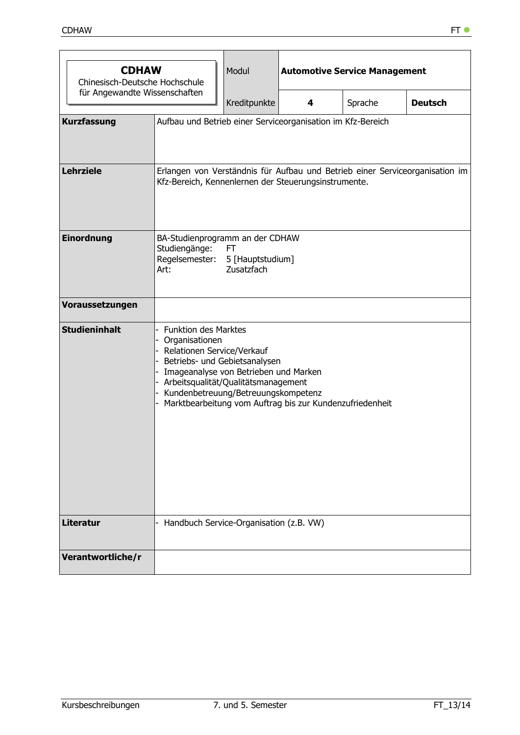| <b>CDHAW</b><br>Chinesisch-Deutsche Hochschule |                                                                                                                                                                                                                                               | Modul                                                                                                                                | <b>Automotive Service Management</b>                     |         |                |  |  |  |
|------------------------------------------------|-----------------------------------------------------------------------------------------------------------------------------------------------------------------------------------------------------------------------------------------------|--------------------------------------------------------------------------------------------------------------------------------------|----------------------------------------------------------|---------|----------------|--|--|--|
| für Angewandte Wissenschaften                  |                                                                                                                                                                                                                                               | Kreditpunkte                                                                                                                         | 4                                                        | Sprache | <b>Deutsch</b> |  |  |  |
| <b>Kurzfassung</b>                             | Aufbau und Betrieb einer Serviceorganisation im Kfz-Bereich                                                                                                                                                                                   |                                                                                                                                      |                                                          |         |                |  |  |  |
| <b>Lehrziele</b>                               |                                                                                                                                                                                                                                               | Erlangen von Verständnis für Aufbau und Betrieb einer Serviceorganisation im<br>Kfz-Bereich, Kennenlernen der Steuerungsinstrumente. |                                                          |         |                |  |  |  |
| Einordnung                                     | BA-Studienprogramm an der CDHAW<br>Studiengänge:<br>FT<br>Regelsemester:<br>5 [Hauptstudium]<br>Zusatzfach<br>Art:                                                                                                                            |                                                                                                                                      |                                                          |         |                |  |  |  |
| Voraussetzungen                                |                                                                                                                                                                                                                                               |                                                                                                                                      |                                                          |         |                |  |  |  |
| <b>Studieninhalt</b>                           | <b>Funktion des Marktes</b><br>- Organisationen<br>- Relationen Service/Verkauf<br>- Betriebs- und Gebietsanalysen<br>- Imageanalyse von Betrieben und Marken<br>- Arbeitsqualität/Qualitätsmanagement<br>Kundenbetreuung/Betreuungskompetenz |                                                                                                                                      | Marktbearbeitung vom Auftrag bis zur Kundenzufriedenheit |         |                |  |  |  |
| <b>Literatur</b>                               | Handbuch Service-Organisation (z.B. VW)                                                                                                                                                                                                       |                                                                                                                                      |                                                          |         |                |  |  |  |
| Verantwortliche/r                              |                                                                                                                                                                                                                                               |                                                                                                                                      |                                                          |         |                |  |  |  |